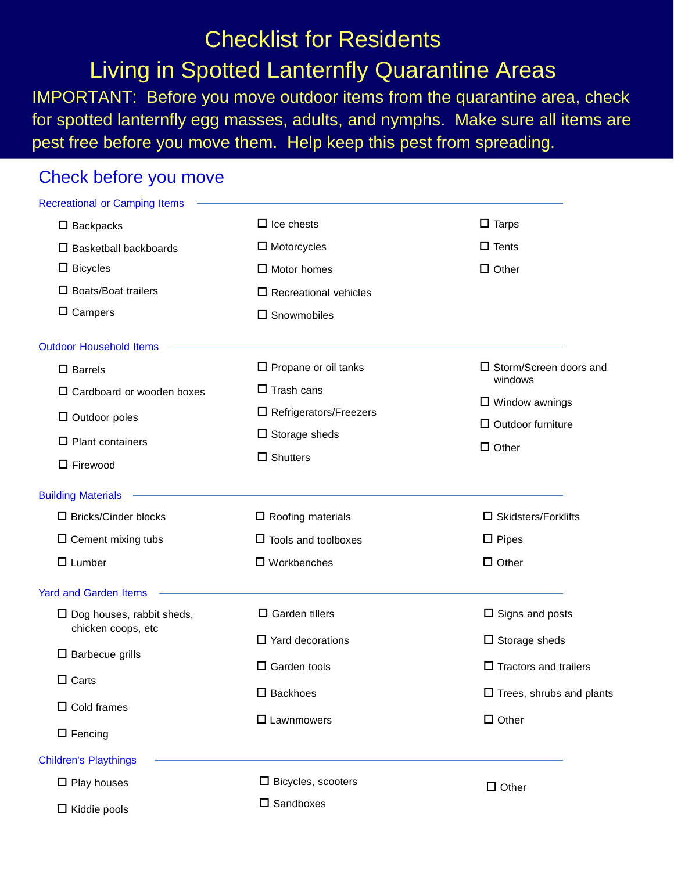## Checklist for Residents Living in Spotted Lanternfly Quarantine Areas

IMPORTANT: Before you move outdoor items from the quarantine area, check for spotted lanternfly egg masses, adults, and nymphs. Make sure all items are pest free before you move them. Help keep this pest from spreading.

## Check before you move

| <b>Recreational or Camping Items</b>                                                                                         |                                 |                                             |
|------------------------------------------------------------------------------------------------------------------------------|---------------------------------|---------------------------------------------|
| $\square$ Backpacks                                                                                                          | $\Box$ Ice chests               | $\Box$ Tarps                                |
| $\square$ Basketball backboards                                                                                              | $\Box$ Motorcycles              | $\Box$ Tents                                |
| $\Box$ Bicycles                                                                                                              | $\Box$ Motor homes              | $\Box$ Other                                |
| $\square$ Boats/Boat trailers                                                                                                | $\square$ Recreational vehicles |                                             |
| $\Box$ Campers                                                                                                               | $\square$ Snowmobiles           |                                             |
| <b>Outdoor Household Items</b>                                                                                               |                                 |                                             |
| $\square$ Barrels                                                                                                            | $\square$ Propane or oil tanks  | $\square$ Storm/Screen doors and<br>windows |
| $\Box$ Cardboard or wooden boxes                                                                                             | $\Box$ Trash cans               |                                             |
| $\Box$ Outdoor poles                                                                                                         | $\Box$ Refrigerators/Freezers   | $\Box$ Window awnings                       |
| $\Box$ Plant containers                                                                                                      | $\square$ Storage sheds         | $\Box$ Outdoor furniture                    |
| $\Box$ Firewood                                                                                                              | $\Box$ Shutters                 | $\Box$ Other                                |
| <b>Building Materials</b>                                                                                                    |                                 |                                             |
| $\square$ Bricks/Cinder blocks                                                                                               | $\Box$ Roofing materials        | $\square$ Skidsters/Forklifts               |
| $\Box$ Cement mixing tubs                                                                                                    | $\Box$ Tools and toolboxes      | $\Box$ Pipes                                |
| $\Box$ Lumber                                                                                                                | $\square$ Workbenches           | $\Box$ Other                                |
| <b>Yard and Garden Items</b>                                                                                                 |                                 |                                             |
| $\square$ Dog houses, rabbit sheds,<br>chicken coops, etc<br>$\square$ Barbecue grills<br>$\Box$ Carts<br>$\Box$ Cold frames | $\Box$ Garden tillers           | $\Box$ Signs and posts                      |
|                                                                                                                              | $\Box$ Yard decorations         | $\square$ Storage sheds                     |
|                                                                                                                              | $\Box$ Garden tools             | $\Box$ Tractors and trailers                |
|                                                                                                                              | $\square$ Backhoes              | $\square$ Trees, shrubs and plants          |
|                                                                                                                              |                                 |                                             |
| $\square$ Fencing                                                                                                            | $\square$ Lawnmowers            | $\Box$ Other                                |
| <b>Children's Playthings</b>                                                                                                 |                                 |                                             |
| $\square$ Play houses                                                                                                        | $\Box$ Bicycles, scooters       | $\Box$ Other                                |
| $\Box$ Kiddie pools                                                                                                          | $\square$ Sandboxes             |                                             |